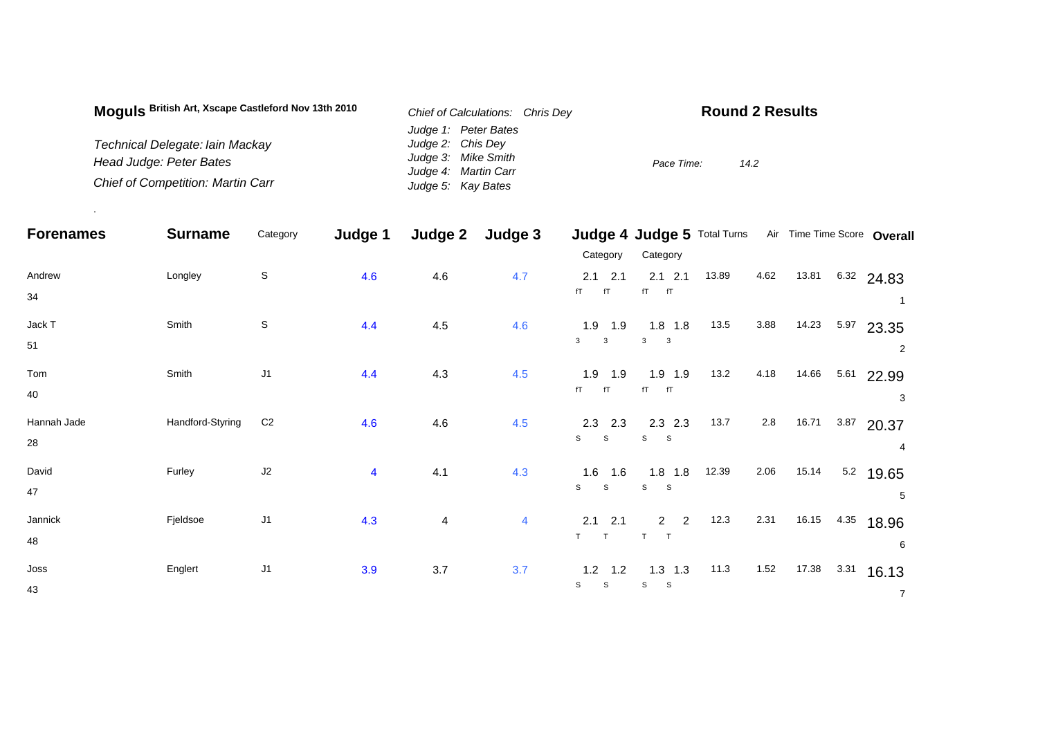| Moguls British Art, Xscape Castleford Nov 13th 2010 | Chief of Calculations: Chris Dev | <b>Round 2 Results</b> |
|-----------------------------------------------------|----------------------------------|------------------------|
|                                                     | Judge 1: Peter Bates             |                        |
| Technical Delegate: lain Mackay                     | Judge 2: Chis Dey                |                        |
| Head Judge: Peter Bates                             | Judge 3: Mike Smith              | Pace Time:<br>14.2     |
|                                                     | Judge 4: Martin Carr             |                        |
| <b>Chief of Competition: Martin Carr</b>            | Judge 5: Kay Bates               |                        |

.

| <b>Forenames</b>  | <b>Surname</b>   | Category       | Judge 1                 | Judge 2        | Judge 3 |                                           | Judge 4 Judge 5 Total Turns         |       |         |       |      | Air Time Time Score Overall |
|-------------------|------------------|----------------|-------------------------|----------------|---------|-------------------------------------------|-------------------------------------|-------|---------|-------|------|-----------------------------|
|                   |                  |                |                         |                |         | Category                                  | Category                            |       |         |       |      |                             |
| Andrew<br>34      | Longley          | $\mathbb S$    | 4.6                     | 4.6            | 4.7     | $2.1$ 2.1<br>fT<br>fT                     | $2.1$ 2.1<br>$fT$ $fT$              | 13.89 | 4.62    | 13.81 |      | 6.32 24.83                  |
| Jack T<br>51      | Smith            | $\mathsf S$    | 4.4                     | 4.5            | 4.6     | $1.9$ 1.9<br>$\mathbf{3}$<br>$\mathbf{3}$ | $1.8$ 1.8<br>3<br>3                 | 13.5  | 3.88    | 14.23 | 5.97 | 23.35<br>2                  |
| Tom<br>40         | Smith            | J <sub>1</sub> | 4.4                     | 4.3            | 4.5     | 1.9<br>1.9<br>fT<br>fT                    | $1.9$ 1.9<br>$fT$ $fT$              | 13.2  | 4.18    | 14.66 | 5.61 | 22.99<br>3                  |
| Hannah Jade<br>28 | Handford-Styring | C <sub>2</sub> | 4.6                     | 4.6            | 4.5     | $2.3$ 2.3<br>$\mathsf{s}$<br>$\mathsf S$  | $2.3$ $2.3$<br>S<br>$\mathbf{s}$    | 13.7  | $2.8\,$ | 16.71 | 3.87 | 20.37<br>4                  |
| David<br>47       | Furley           | J2             | $\overline{\mathbf{4}}$ | 4.1            | 4.3     | 1.6<br>1.6<br>S<br>S                      | $1.8$ 1.8<br>S<br>$\mathbf S$       | 12.39 | 2.06    | 15.14 | 5.2  | 19.65<br>5                  |
| Jannick<br>48     | Fjeldsoe         | J1             | 4.3                     | $\overline{4}$ | 4       | 2.1<br>2.1<br>T<br>T                      | 2<br>$\overline{2}$<br>T.<br>$\top$ | 12.3  | 2.31    | 16.15 | 4.35 | 18.96<br>6                  |
| Joss<br>43        | Englert          | J <sub>1</sub> | 3.9                     | 3.7            | 3.7     | $1.2$ 1.2<br>$\mathbb S$<br>$\mathbb S$   | $1.3$ 1.3<br>s<br>S                 | 11.3  | 1.52    | 17.38 | 3.31 | 16.13<br>$\overline{7}$     |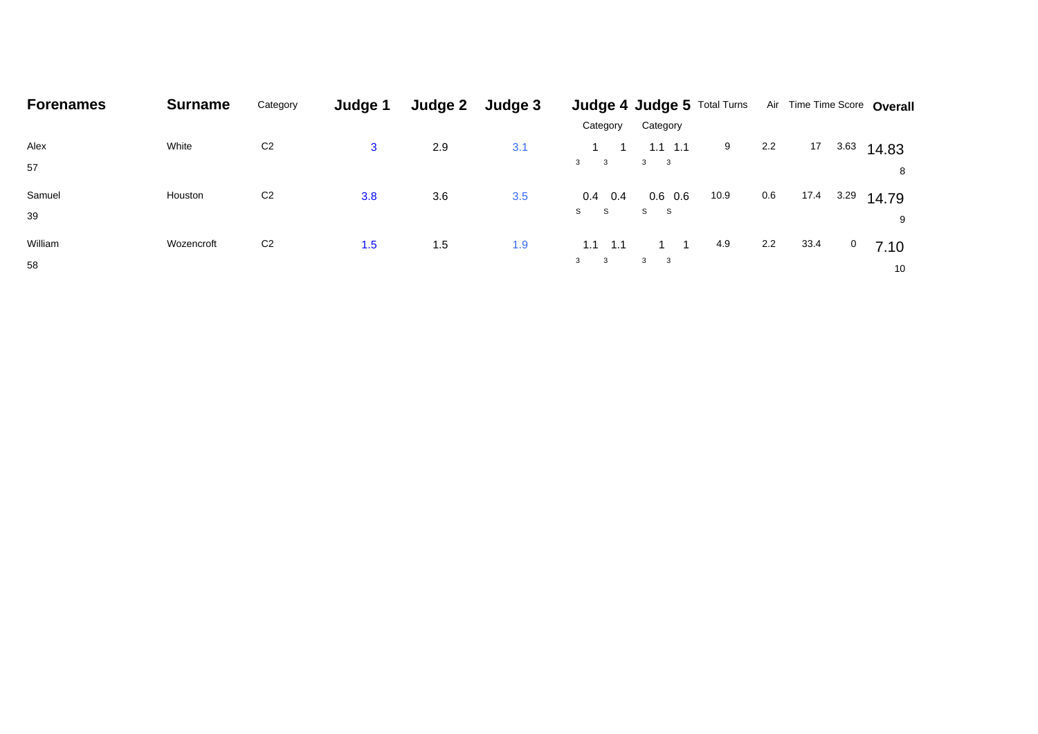| <b>Forenames</b> | <b>Surname</b> | Category       | Judge 1 | Judge 2 | Judge 3 |              | Judge 4 Judge 5 Total Turns |      |     | Air Time Time Score Overall |           |
|------------------|----------------|----------------|---------|---------|---------|--------------|-----------------------------|------|-----|-----------------------------|-----------|
|                  |                |                |         |         |         | Category     | Category                    |      |     |                             |           |
| Alex             | White          | C <sub>2</sub> | 3       | 2.9     | 3.1     |              | $1.1$ 1.1                   | 9    | 2.2 | 17<br>3.63                  | 14.83     |
| 57               |                |                |         |         |         | $3 \qquad 3$ | $3 \qquad 3$                |      |     |                             | 8         |
| Samuel           | Houston        | C <sub>2</sub> | 3.8     | 3.6     | 3.5     | $0.4$ 0.4    | $0.6\quad 0.6$              | 10.9 | 0.6 | 17.4<br>3.29                | 14.79     |
| 39               |                |                |         |         |         | S S          | S S                         |      |     |                             | 9         |
| William          | Wozencroft     | C <sub>2</sub> | 1.5     | 1.5     | 1.9     | 1.1<br>1.1   |                             | 4.9  | 2.2 | 33.4                        | 0<br>7.10 |
| 58               |                |                |         |         |         | $3 \qquad 3$ | $3 \qquad 3$                |      |     |                             | 10        |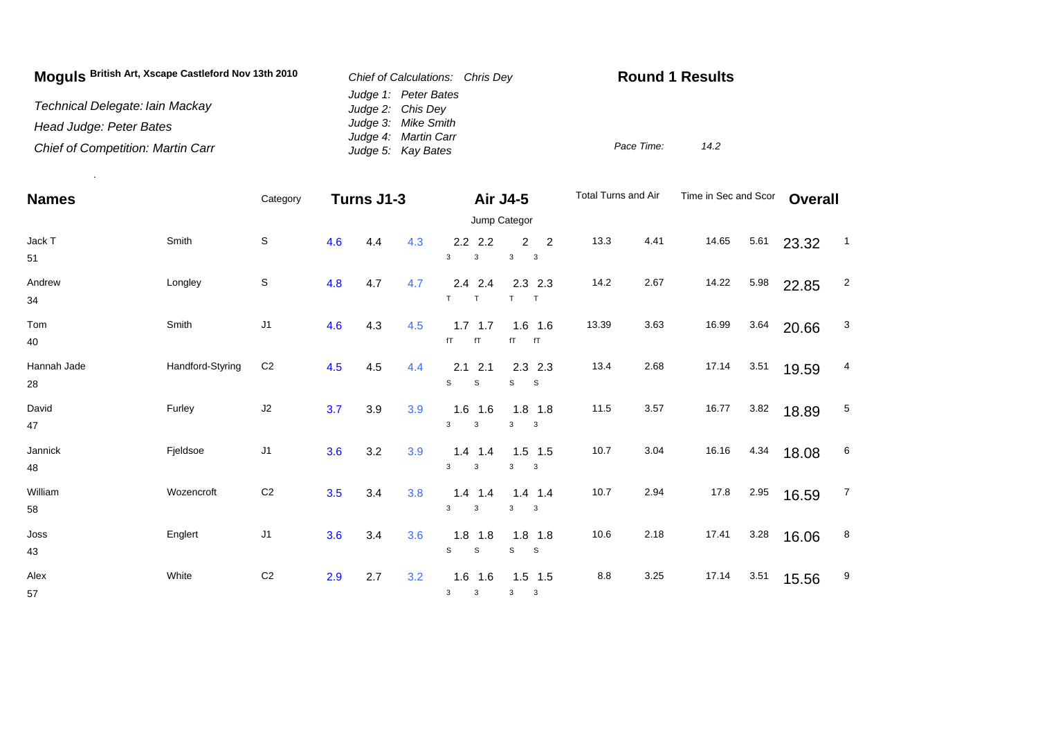| Moguls British Art, Xscape Castleford Nov 13th 2010 | Chief of Calculations: Chris Dev            | <b>Round 1 Results</b> |      |  |  |  |
|-----------------------------------------------------|---------------------------------------------|------------------------|------|--|--|--|
| Technical Delegate: Iain Mackay                     | Judge 1: Peter Bates<br>Judge 2: Chis Dey   |                        |      |  |  |  |
| Head Judge: Peter Bates                             | Judge 3: Mike Smith<br>Judge 4: Martin Carr |                        |      |  |  |  |
| <b>Chief of Competition: Martin Carr</b>            | Judge 5: Kay Bates                          | Pace Time:             | 14.2 |  |  |  |

.

| <b>Names</b>      |                  | Category       |     |     | Turns J1-3<br>Air J4-5 |                                |                                                         |           |      |       | Time in Sec and Scor |       | <b>Overall</b>   |  |
|-------------------|------------------|----------------|-----|-----|------------------------|--------------------------------|---------------------------------------------------------|-----------|------|-------|----------------------|-------|------------------|--|
|                   |                  |                |     |     |                        |                                | Jump Categor                                            |           |      |       |                      |       |                  |  |
| Jack T<br>51      | Smith            | S              | 4.6 | 4.4 | 4.3                    | $2.2$ 2.2<br>3<br>$\mathsf 3$  | $\overline{2}$<br>$\overline{2}$<br>3<br>$\overline{3}$ | 13.3      | 4.41 | 14.65 | 5.61                 | 23.32 | $\overline{1}$   |  |
| Andrew<br>34      | Longley          | $\mathsf S$    | 4.8 | 4.7 | 4.7                    | $2.4$ 2.4<br>T<br>$\mathsf T$  | $2.3$ 2.3<br>T<br>$\top$                                | 14.2      | 2.67 | 14.22 | 5.98                 | 22.85 | $\overline{2}$   |  |
| Tom<br>40         | Smith            | J <sub>1</sub> | 4.6 | 4.3 | 4.5                    | $1.7$ 1.7<br>fT<br>fT          | $1.6$ 1.6<br>fT<br>fT                                   | 13.39     | 3.63 | 16.99 | 3.64                 | 20.66 | 3                |  |
| Hannah Jade<br>28 | Handford-Styring | C <sub>2</sub> | 4.5 | 4.5 | 4.4                    | $2.1$ 2.1<br>S<br>S            | $2.3$ 2.3<br>S<br>- S                                   | 13.4      | 2.68 | 17.14 | 3.51                 | 19.59 | 4                |  |
| David<br>47       | Furley           | J2             | 3.7 | 3.9 | 3.9                    | $1.6$ 1.6<br>3<br>3            | $1.8$ 1.8<br>3<br>$\overline{\mathbf{3}}$               | 11.5      | 3.57 | 16.77 | 3.82                 | 18.89 | 5                |  |
| Jannick<br>48     | Fjeldsoe         | J <sub>1</sub> | 3.6 | 3.2 | 3.9                    | $1.4$ 1.4<br>3<br>3            | $1.5$ 1.5<br>3<br>$\mathbf{3}$                          | 10.7      | 3.04 | 16.16 | 4.34                 | 18.08 | 6                |  |
| William<br>58     | Wozencroft       | C <sub>2</sub> | 3.5 | 3.4 | 3.8                    | $1.4$ 1.4<br>3<br>3            | $1.4$ 1.4<br>3<br>$\overline{\mathbf{3}}$               | 10.7      | 2.94 | 17.8  | 2.95                 | 16.59 | $\overline{7}$   |  |
| Joss<br>43        | Englert          | J1             | 3.6 | 3.4 | 3.6                    | $1.8$ 1.8<br>S<br>$\mathsf{s}$ | $1.8$ 1.8<br>S<br>$\mathbf{s}$                          | 10.6      | 2.18 | 17.41 | 3.28                 | 16.06 | $\boldsymbol{8}$ |  |
| Alex<br>57        | White            | C <sub>2</sub> | 2.9 | 2.7 | 3.2                    | $1.6$ 1.6<br>3<br>3            | $1.5$ 1.5<br>$\mathbf{3}$<br>$\mathbf{3}$               | $\bf 8.8$ | 3.25 | 17.14 | 3.51                 | 15.56 | 9                |  |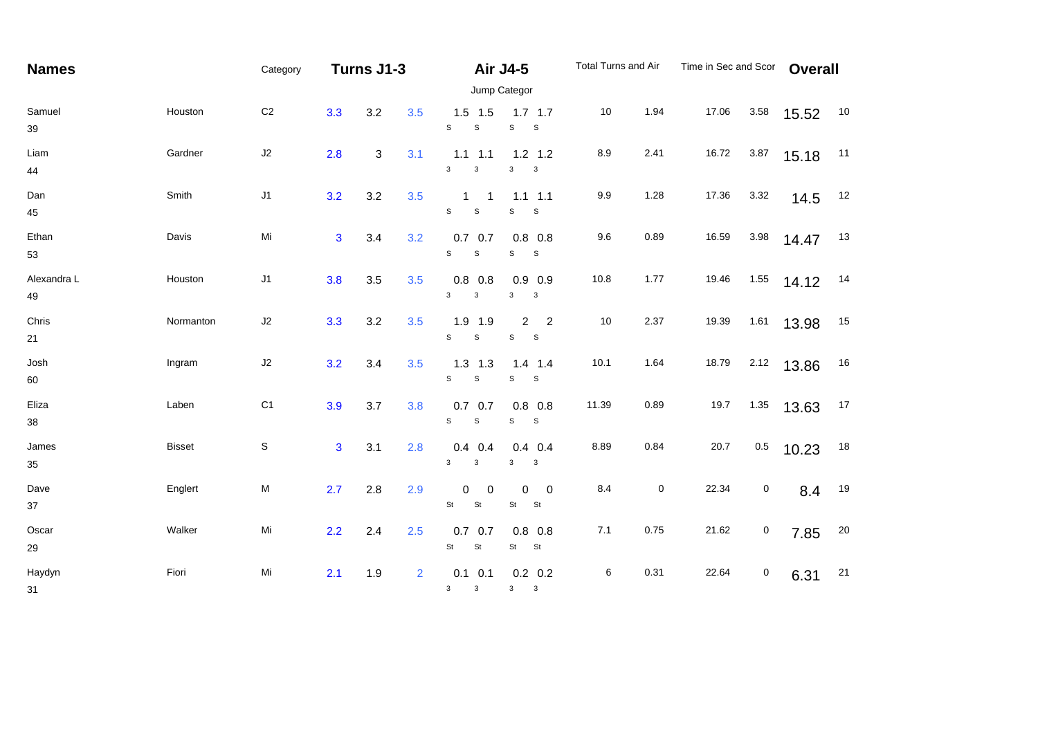| <b>Names</b>      |               | Category                                                                                                   | Turns J1-3     |     |                |                                                     | <b>Air J4-5</b>                                         | Total Turns and Air |           | Time in Sec and Scor |             | <b>Overall</b> |    |  |
|-------------------|---------------|------------------------------------------------------------------------------------------------------------|----------------|-----|----------------|-----------------------------------------------------|---------------------------------------------------------|---------------------|-----------|----------------------|-------------|----------------|----|--|
|                   | Jump Categor  |                                                                                                            |                |     |                |                                                     |                                                         |                     |           |                      |             |                |    |  |
| Samuel<br>39      | Houston       | C <sub>2</sub>                                                                                             | 3.3            | 3.2 | 3.5            | $1.5$ 1.5<br>S<br>$\mathsf S$                       | $1.7$ 1.7<br>s<br>$\mathsf{s}$                          | 10                  | 1.94      | 17.06                | 3.58        | 15.52          | 10 |  |
| Liam<br>44        | Gardner       | J2                                                                                                         | 2.8            | 3   | 3.1            | $1.1$ $1.1$<br>3<br>3                               | $1.2$ 1.2<br>3<br>$\mathbf{3}$                          | 8.9                 | 2.41      | 16.72                | 3.87        | 15.18          | 11 |  |
| Dan<br>45         | Smith         | J1                                                                                                         | 3.2            | 3.2 | 3.5            | $\mathbf{1}$<br>$\overline{1}$<br>S<br>$\mathsf{s}$ | $1.1$ 1.1<br>S<br>$\mathbb S$                           | 9.9                 | 1.28      | 17.36                | 3.32        | 14.5           | 12 |  |
| Ethan<br>53       | Davis         | Mi                                                                                                         | $\overline{3}$ | 3.4 | 3.2            | $0.7$ 0.7<br>$\mathsf{s}$<br>$\mathbb S$            | $0.8$ 0.8<br>S<br>S                                     | 9.6                 | 0.89      | 16.59                | 3.98        | 14.47          | 13 |  |
| Alexandra L<br>49 | Houston       | $\sf J1$                                                                                                   | 3.8            | 3.5 | 3.5            | $0.8$ 0.8<br>$\mathbf{3}$<br>$\mathbf{3}$           | $0.9$ 0.9<br>3<br>$\mathbf{3}$                          | 10.8                | 1.77      | 19.46                | 1.55        | 14.12          | 14 |  |
| Chris<br>21       | Normanton     | J2                                                                                                         | 3.3            | 3.2 | 3.5            | 1.9 1.9<br>S<br>$\mathbb S$                         | $\overline{2}$<br>2<br>$\mathbb S$<br>$\mathbf{s}$      | 10                  | 2.37      | 19.39                | 1.61        | 13.98          | 15 |  |
| Josh<br>60        | Ingram        | J2                                                                                                         | 3.2            | 3.4 | 3.5            | $1.3$ 1.3<br>S<br>$\mathbb S$                       | $1.4$ 1.4<br>S<br>$\mathsf S$                           | 10.1                | 1.64      | 18.79                | 2.12        | 13.86          | 16 |  |
| Eliza<br>$38\,$   | Laben         | C <sub>1</sub>                                                                                             | 3.9            | 3.7 | 3.8            | $0.7\quad 0.7$<br>$\mathbb S$<br>$\mathbf{s}$       | $0.8$ 0.8<br>S<br>$\mathbf{s}$                          | 11.39               | 0.89      | 19.7                 | 1.35        | 13.63          | 17 |  |
| James<br>35       | <b>Bisset</b> | $\mathsf S$                                                                                                | $\mathbf{3}$   | 3.1 | 2.8            | $0.4$ 0.4<br>$\mathbf{3}$<br>3                      | $0.4$ 0.4<br>$\mathbf{3}$<br>$\mathbf{3}$               | 8.89                | 0.84      | 20.7                 | $0.5\,$     | 10.23          | 18 |  |
| Dave<br>37        | Englert       | $\mathsf{M}% _{T}=\mathsf{M}_{T}\!\left( a,b\right) ,\ \mathsf{M}_{T}=\mathsf{M}_{T}\!\left( a,b\right) ,$ | 2.7            | 2.8 | 2.9            | $\mathbf 0$<br>$\mathbf 0$<br>St<br>St              | 0<br>$\overline{0}$<br>St<br>St                         | 8.4                 | $\pmb{0}$ | 22.34                | $\mathbf 0$ | 8.4            | 19 |  |
| Oscar<br>29       | Walker        | Mi                                                                                                         | 2.2            | 2.4 | 2.5            | $0.7\quad 0.7$<br>St<br>$\mathsf{St}$               | $0.8$ 0.8<br>St<br><b>St</b>                            | 7.1                 | 0.75      | 21.62                | 0           | 7.85           | 20 |  |
| Haydyn<br>31      | Fiori         | Mi                                                                                                         | 2.1            | 1.9 | $\overline{2}$ | $0.1 \quad 0.1$<br>$\mathbf{3}$<br>$\mathbf{3}$     | $0.2\ 0.2$<br>3 <sup>1</sup><br>$\overline{\mathbf{3}}$ | 6                   | 0.31      | 22.64                | $\pmb{0}$   | 6.31           | 21 |  |